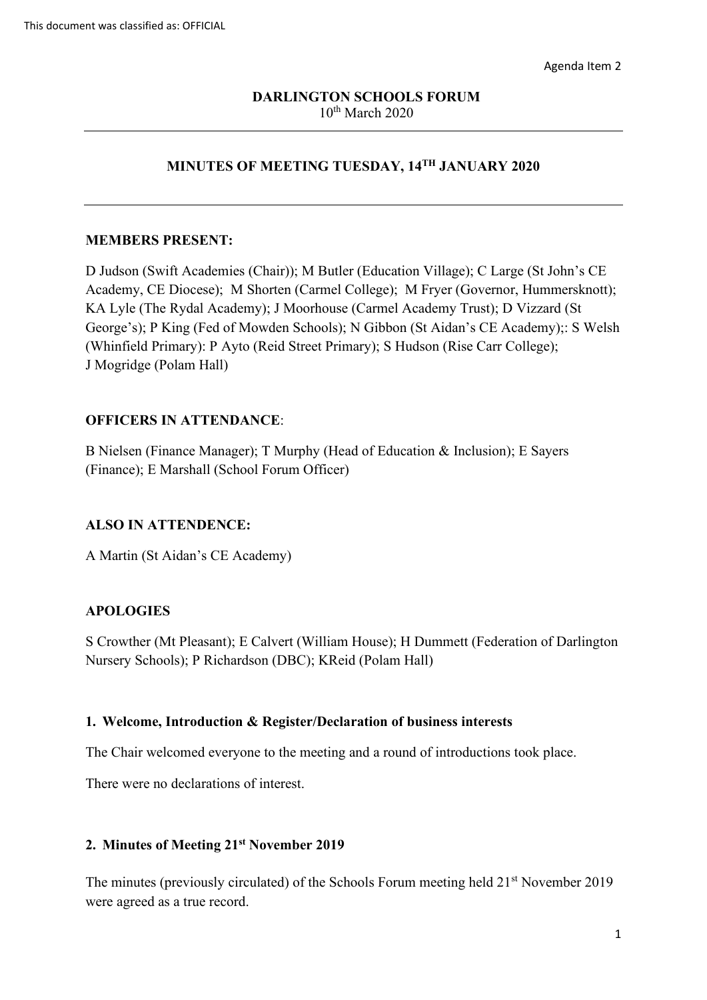# $10<sup>th</sup>$  March 2020 **DARLINGTON SCHOOLS FORUM**

# **MINUTES OF MEETING TUESDAY, 14TH JANUARY 2020**

#### **MEMBERS PRESENT:**

 Academy, CE Diocese); M Shorten (Carmel College); M Fryer (Governor, Hummersknott); (Whinfield Primary): P Ayto (Reid Street Primary); S Hudson (Rise Carr College); J Mogridge (Polam Hall) D Judson (Swift Academies (Chair)); M Butler (Education Village); C Large (St John's CE KA Lyle (The Rydal Academy); J Moorhouse (Carmel Academy Trust); D Vizzard (St George's); P King (Fed of Mowden Schools); N Gibbon (St Aidan's CE Academy);: S Welsh

#### **OFFICERS IN ATTENDANCE**:

 B Nielsen (Finance Manager); T Murphy (Head of Education & Inclusion); E Sayers (Finance); E Marshall (School Forum Officer)

#### **ALSO IN ATTENDENCE:**

A Martin (St Aidan's CE Academy)

## **APOLOGIES**

S Crowther (Mt Pleasant); E Calvert (William House); H Dummett (Federation of Darlington Nursery Schools); P Richardson (DBC); KReid (Polam Hall)

#### **1. Welcome, Introduction & Register/Declaration of business interests**

The Chair welcomed everyone to the meeting and a round of introductions took place.

There were no declarations of interest.

#### **2. Minutes of Meeting 21st November 2019**

The minutes (previously circulated) of the Schools Forum meeting held 21<sup>st</sup> November 2019 were agreed as a true record.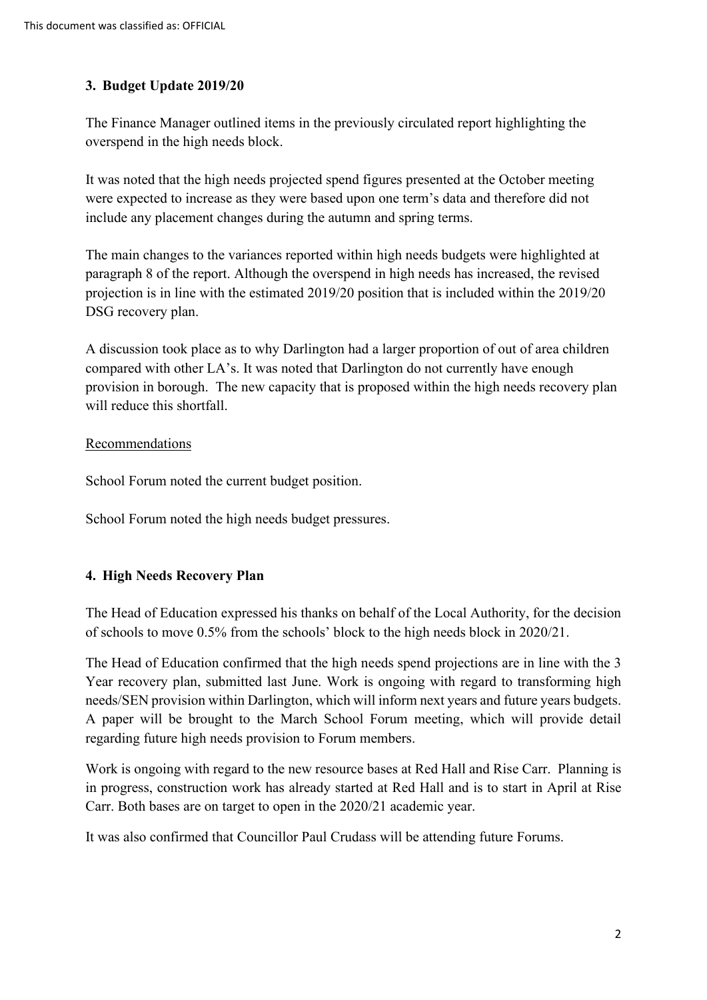# **3. Budget Update 2019/20**

The Finance Manager outlined items in the previously circulated report highlighting the overspend in the high needs block.

It was noted that the high needs projected spend figures presented at the October meeting were expected to increase as they were based upon one term's data and therefore did not include any placement changes during the autumn and spring terms.

 paragraph 8 of the report. Although the overspend in high needs has increased, the revised The main changes to the variances reported within high needs budgets were highlighted at projection is in line with the estimated 2019/20 position that is included within the 2019/20 DSG recovery plan.

A discussion took place as to why Darlington had a larger proportion of out of area children compared with other LA's. It was noted that Darlington do not currently have enough provision in borough. The new capacity that is proposed within the high needs recovery plan will reduce this shortfall.

## Recommendations

School Forum noted the current budget position.

School Forum noted the high needs budget pressures.

## **4. High Needs Recovery Plan**

The Head of Education expressed his thanks on behalf of the Local Authority, for the decision of schools to move 0.5% from the schools' block to the high needs block in 2020/21.

 The Head of Education confirmed that the high needs spend projections are in line with the 3 Year recovery plan, submitted last June. Work is ongoing with regard to transforming high needs/SEN provision within Darlington, which will inform next years and future years budgets. A paper will be brought to the March School Forum meeting, which will provide detail regarding future high needs provision to Forum members.

 in progress, construction work has already started at Red Hall and is to start in April at Rise Work is ongoing with regard to the new resource bases at Red Hall and Rise Carr. Planning is Carr. Both bases are on target to open in the 2020/21 academic year.

It was also confirmed that Councillor Paul Crudass will be attending future Forums.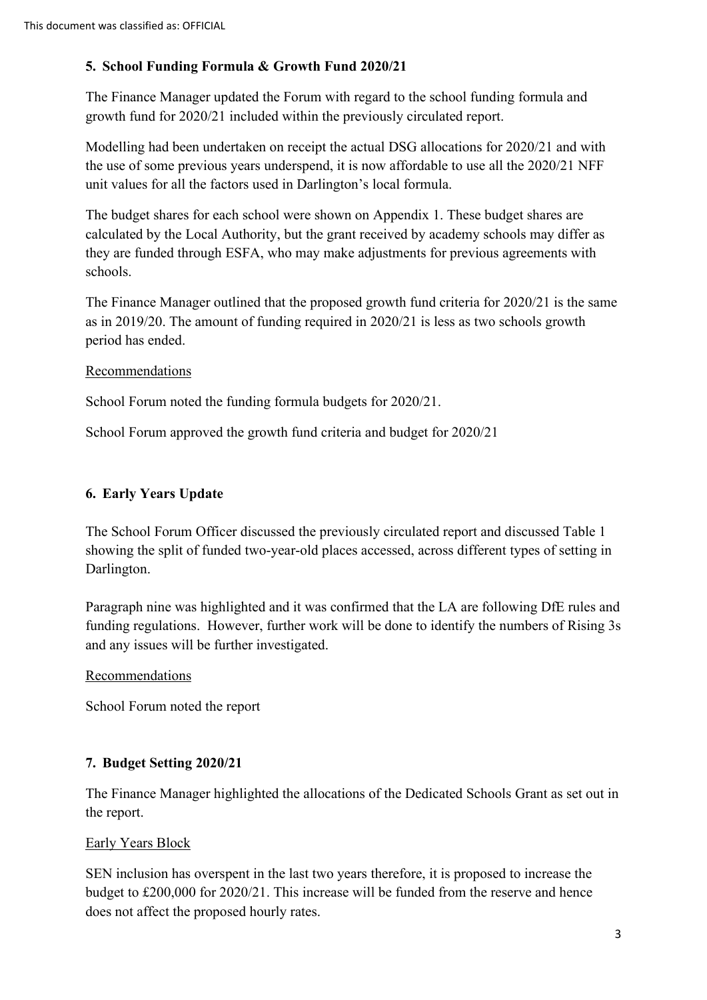# **5. School Funding Formula & Growth Fund 2020/21**

The Finance Manager updated the Forum with regard to the school funding formula and growth fund for 2020/21 included within the previously circulated report.

 the use of some previous years underspend, it is now affordable to use all the 2020/21 NFF Modelling had been undertaken on receipt the actual DSG allocations for 2020/21 and with unit values for all the factors used in Darlington's local formula.

 calculated by the Local Authority, but the grant received by academy schools may differ as The budget shares for each school were shown on Appendix 1. These budget shares are they are funded through ESFA, who may make adjustments for previous agreements with schools.

The Finance Manager outlined that the proposed growth fund criteria for 2020/21 is the same as in 2019/20. The amount of funding required in 2020/21 is less as two schools growth period has ended.

## Recommendations

School Forum noted the funding formula budgets for 2020/21.

School Forum approved the growth fund criteria and budget for 2020/21

# **6. Early Years Update**

The School Forum Officer discussed the previously circulated report and discussed Table 1 showing the split of funded two-year-old places accessed, across different types of setting in Darlington.

 funding regulations. However, further work will be done to identify the numbers of Rising 3s Paragraph nine was highlighted and it was confirmed that the LA are following DfE rules and and any issues will be further investigated.

## Recommendations

School Forum noted the report

## **7. Budget Setting 2020/21**

The Finance Manager highlighted the allocations of the Dedicated Schools Grant as set out in the report.

## Early Years Block

SEN inclusion has overspent in the last two years therefore, it is proposed to increase the budget to £200,000 for 2020/21. This increase will be funded from the reserve and hence does not affect the proposed hourly rates.